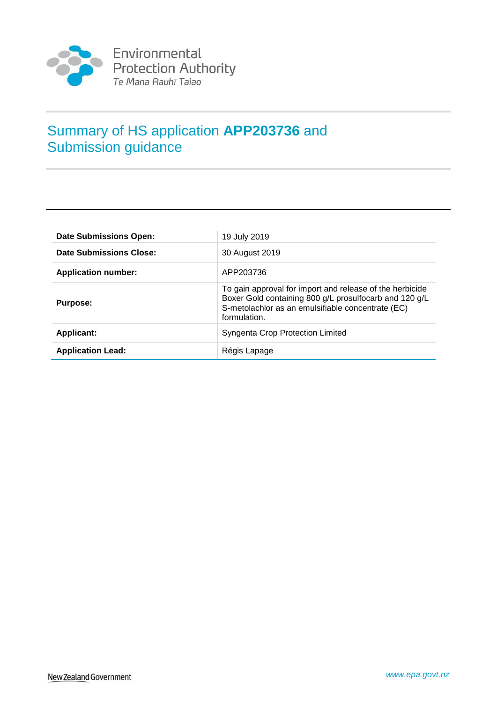

# Summary of HS application **APP203736** and Submission guidance

| <b>Date Submissions Open:</b> | 19 July 2019                                                                                                                                                                            |
|-------------------------------|-----------------------------------------------------------------------------------------------------------------------------------------------------------------------------------------|
| Date Submissions Close:       | 30 August 2019                                                                                                                                                                          |
| <b>Application number:</b>    | APP203736                                                                                                                                                                               |
| <b>Purpose:</b>               | To gain approval for import and release of the herbicide<br>Boxer Gold containing 800 g/L prosulfocarb and 120 g/L<br>S-metolachlor as an emulsifiable concentrate (EC)<br>formulation. |
| <b>Applicant:</b>             | Syngenta Crop Protection Limited                                                                                                                                                        |
| <b>Application Lead:</b>      | Régis Lapage                                                                                                                                                                            |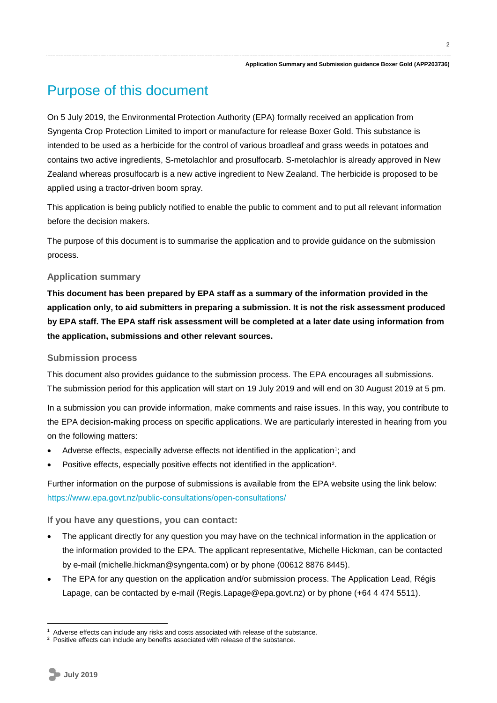# Purpose of this document

On 5 July 2019, the Environmental Protection Authority (EPA) formally received an application from Syngenta Crop Protection Limited to import or manufacture for release Boxer Gold. This substance is intended to be used as a herbicide for the control of various broadleaf and grass weeds in potatoes and contains two active ingredients, S-metolachlor and prosulfocarb. S-metolachlor is already approved in New Zealand whereas prosulfocarb is a new active ingredient to New Zealand. The herbicide is proposed to be applied using a tractor-driven boom spray.

This application is being publicly notified to enable the public to comment and to put all relevant information before the decision makers.

The purpose of this document is to summarise the application and to provide guidance on the submission process.

# **Application summary**

**This document has been prepared by EPA staff as a summary of the information provided in the application only, to aid submitters in preparing a submission. It is not the risk assessment produced by EPA staff. The EPA staff risk assessment will be completed at a later date using information from the application, submissions and other relevant sources.**

# **Submission process**

This document also provides guidance to the submission process. The EPA encourages all submissions. The submission period for this application will start on 19 July 2019 and will end on 30 August 2019 at 5 pm.

In a submission you can provide information, make comments and raise issues. In this way, you contribute to the EPA decision-making process on specific applications. We are particularly interested in hearing from you on the following matters:

- Adverse effects, especially adverse effects not identified in the application<sup>1</sup>; and
- Positive effects, especially positive effects not identified in the application<sup>2</sup>.

Further information on the purpose of submissions is available from the EPA website using the link below: https://www.epa.govt.nz/public-consultations/open-consultations/

# **If you have any questions, you can contact:**

- The applicant directly for any question you may have on the technical information in the application or the information provided to the EPA. The applicant representative, Michelle Hickman, can be contacted by e-mail (michelle.hickman@syngenta.com) or by phone (00612 8876 8445).
- The EPA for any question on the application and/or submission process. The Application Lead, Régis Lapage, can be contacted by e-mail (Regis.Lapage@epa.govt.nz) or by phone (+64 4 474 5511).

1

Adverse effects can include any risks and costs associated with release of the substance.

<sup>&</sup>lt;sup>2</sup> Positive effects can include any benefits associated with release of the substance.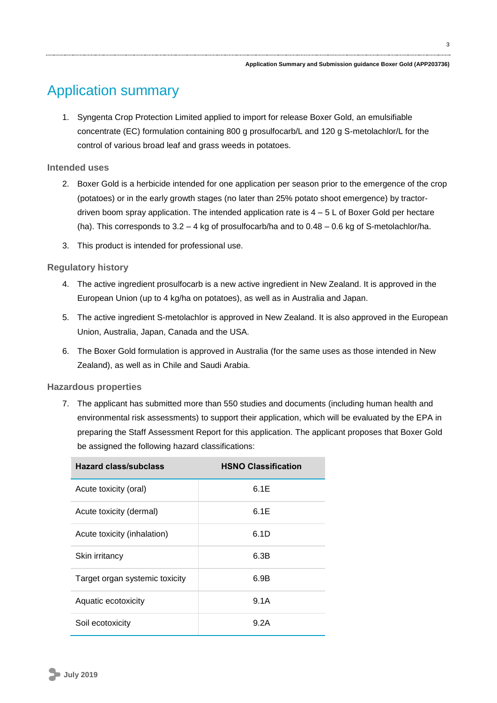#### **Application Summary and Submission guidance Boxer Gold (APP203736)**

# Application summary

1. Syngenta Crop Protection Limited applied to import for release Boxer Gold, an emulsifiable concentrate (EC) formulation containing 800 g prosulfocarb/L and 120 g S-metolachlor/L for the control of various broad leaf and grass weeds in potatoes.

# **Intended uses**

- 2. Boxer Gold is a herbicide intended for one application per season prior to the emergence of the crop (potatoes) or in the early growth stages (no later than 25% potato shoot emergence) by tractordriven boom spray application. The intended application rate is  $4 - 5$  L of Boxer Gold per hectare (ha). This corresponds to 3.2 – 4 kg of prosulfocarb/ha and to 0.48 – 0.6 kg of S-metolachlor/ha.
- 3. This product is intended for professional use.

# **Regulatory history**

- 4. The active ingredient prosulfocarb is a new active ingredient in New Zealand. It is approved in the European Union (up to 4 kg/ha on potatoes), as well as in Australia and Japan.
- 5. The active ingredient S-metolachlor is approved in New Zealand. It is also approved in the European Union, Australia, Japan, Canada and the USA.
- 6. The Boxer Gold formulation is approved in Australia (for the same uses as those intended in New Zealand), as well as in Chile and Saudi Arabia.

### **Hazardous properties**

7. The applicant has submitted more than 550 studies and documents (including human health and environmental risk assessments) to support their application, which will be evaluated by the EPA in preparing the Staff Assessment Report for this application. The applicant proposes that Boxer Gold be assigned the following hazard classifications:

| <b>Hazard class/subclass</b>   | <b>HSNO Classification</b> |
|--------------------------------|----------------------------|
| Acute toxicity (oral)          | 6.1E                       |
| Acute toxicity (dermal)        | 6.1E                       |
| Acute toxicity (inhalation)    | 6.1D                       |
| Skin irritancy                 | 6.3B                       |
| Target organ systemic toxicity | 6.9B                       |
| Aquatic ecotoxicity            | 9.1A                       |
| Soil ecotoxicity               | 9.2A                       |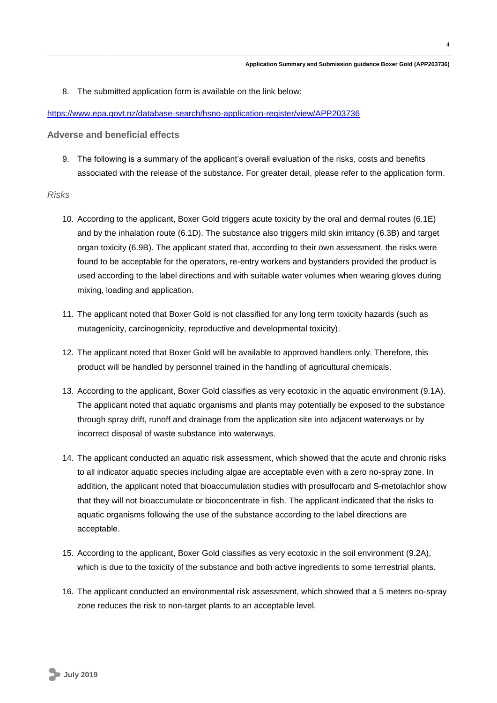4

8. The submitted application form is available on the link below:

### <https://www.epa.govt.nz/database-search/hsno-application-register/view/APP203736>

**Adverse and beneficial effects**

9. The following is a summary of the applicant's overall evaluation of the risks, costs and benefits associated with the release of the substance. For greater detail, please refer to the application form.

### *Risks*

- 10. According to the applicant, Boxer Gold triggers acute toxicity by the oral and dermal routes (6.1E) and by the inhalation route (6.1D). The substance also triggers mild skin irritancy (6.3B) and target organ toxicity (6.9B). The applicant stated that, according to their own assessment, the risks were found to be acceptable for the operators, re-entry workers and bystanders provided the product is used according to the label directions and with suitable water volumes when wearing gloves during mixing, loading and application.
- 11. The applicant noted that Boxer Gold is not classified for any long term toxicity hazards (such as mutagenicity, carcinogenicity, reproductive and developmental toxicity).
- 12. The applicant noted that Boxer Gold will be available to approved handlers only. Therefore, this product will be handled by personnel trained in the handling of agricultural chemicals.
- 13. According to the applicant, Boxer Gold classifies as very ecotoxic in the aquatic environment (9.1A). The applicant noted that aquatic organisms and plants may potentially be exposed to the substance through spray drift, runoff and drainage from the application site into adjacent waterways or by incorrect disposal of waste substance into waterways.
- 14. The applicant conducted an aquatic risk assessment, which showed that the acute and chronic risks to all indicator aquatic species including algae are acceptable even with a zero no-spray zone. In addition, the applicant noted that bioaccumulation studies with prosulfocarb and S-metolachlor show that they will not bioaccumulate or bioconcentrate in fish. The applicant indicated that the risks to aquatic organisms following the use of the substance according to the label directions are acceptable.
- 15. According to the applicant, Boxer Gold classifies as very ecotoxic in the soil environment (9.2A), which is due to the toxicity of the substance and both active ingredients to some terrestrial plants.
- 16. The applicant conducted an environmental risk assessment, which showed that a 5 meters no-spray zone reduces the risk to non-target plants to an acceptable level.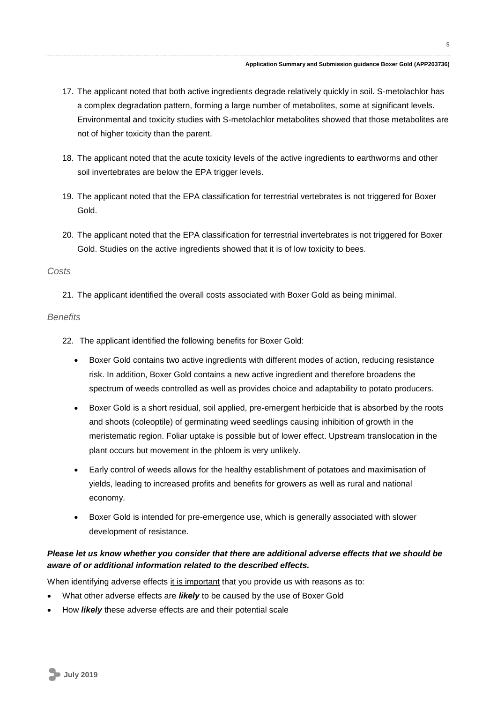- 17. The applicant noted that both active ingredients degrade relatively quickly in soil. S-metolachlor has a complex degradation pattern, forming a large number of metabolites, some at significant levels. Environmental and toxicity studies with S-metolachlor metabolites showed that those metabolites are not of higher toxicity than the parent.
- 18. The applicant noted that the acute toxicity levels of the active ingredients to earthworms and other soil invertebrates are below the EPA trigger levels.
- 19. The applicant noted that the EPA classification for terrestrial vertebrates is not triggered for Boxer Gold.
- 20. The applicant noted that the EPA classification for terrestrial invertebrates is not triggered for Boxer Gold. Studies on the active ingredients showed that it is of low toxicity to bees.

### *Costs*

21. The applicant identified the overall costs associated with Boxer Gold as being minimal.

# *Benefits*

- 22. The applicant identified the following benefits for Boxer Gold:
	- Boxer Gold contains two active ingredients with different modes of action, reducing resistance risk. In addition, Boxer Gold contains a new active ingredient and therefore broadens the spectrum of weeds controlled as well as provides choice and adaptability to potato producers.
	- Boxer Gold is a short residual, soil applied, pre-emergent herbicide that is absorbed by the roots and shoots (coleoptile) of germinating weed seedlings causing inhibition of growth in the meristematic region. Foliar uptake is possible but of lower effect. Upstream translocation in the plant occurs but movement in the phloem is very unlikely.
	- Early control of weeds allows for the healthy establishment of potatoes and maximisation of yields, leading to increased profits and benefits for growers as well as rural and national economy.
	- Boxer Gold is intended for pre-emergence use, which is generally associated with slower development of resistance.

# *Please let us know whether you consider that there are additional adverse effects that we should be aware of or additional information related to the described effects.*

When identifying adverse effects it is important that you provide us with reasons as to:

- What other adverse effects are *likely* to be caused by the use of Boxer Gold
- How *likely* these adverse effects are and their potential scale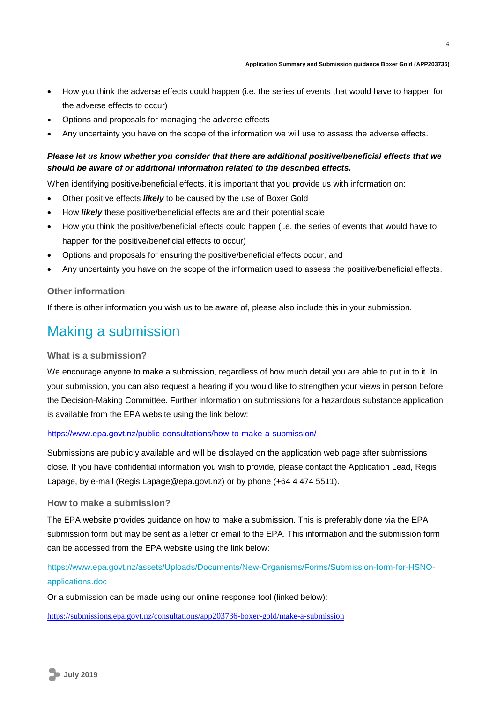- How you think the adverse effects could happen (i.e. the series of events that would have to happen for the adverse effects to occur)
- Options and proposals for managing the adverse effects
- Any uncertainty you have on the scope of the information we will use to assess the adverse effects.

# *Please let us know whether you consider that there are additional positive/beneficial effects that we should be aware of or additional information related to the described effects.*

When identifying positive/beneficial effects, it is important that you provide us with information on:

- Other positive effects *likely* to be caused by the use of Boxer Gold
- How *likely* these positive/beneficial effects are and their potential scale
- How you think the positive/beneficial effects could happen (i.e. the series of events that would have to happen for the positive/beneficial effects to occur)
- Options and proposals for ensuring the positive/beneficial effects occur, and
- Any uncertainty you have on the scope of the information used to assess the positive/beneficial effects.

### **Other information**

If there is other information you wish us to be aware of, please also include this in your submission.

# Making a submission

# **What is a submission?**

We encourage anyone to make a submission, regardless of how much detail you are able to put in to it. In your submission, you can also request a hearing if you would like to strengthen your views in person before the Decision-Making Committee. Further information on submissions for a hazardous substance application is available from the EPA website using the link below:

### <https://www.epa.govt.nz/public-consultations/how-to-make-a-submission/>

Submissions are publicly available and will be displayed on the application web page after submissions close. If you have confidential information you wish to provide, please contact the Application Lead, Regis Lapage, by e-mail (Regis.Lapage@epa.govt.nz) or by phone (+64 4 474 5511).

#### **How to make a submission?**

The EPA website provides guidance on how to make a submission. This is preferably done via the EPA submission form but may be sent as a letter or email to the EPA. This information and the submission form can be accessed from the EPA website using the link below:

[https://www.epa.govt.nz/assets/Uploads/Documents/New-Organisms/Forms/Submission-form-for-HSNO](https://www.epa.govt.nz/assets/Uploads/Documents/New-Organisms/Forms/Submission-form-for-HSNO-applications.doc)[applications.doc](https://www.epa.govt.nz/assets/Uploads/Documents/New-Organisms/Forms/Submission-form-for-HSNO-applications.doc)

Or a submission can be made using our online response tool (linked below):

<https://submissions.epa.govt.nz/consultations/app203736-boxer-gold/make-a-submission>